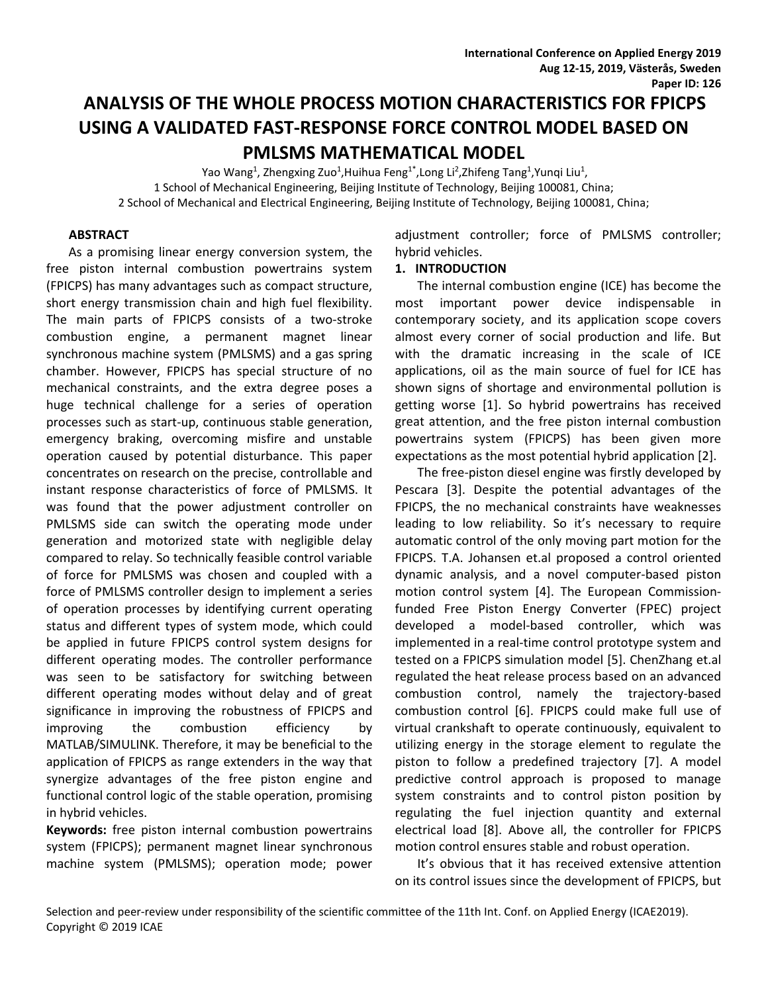# **ANALYSIS OF THE WHOLE PROCESS MOTION CHARACTERISTICS FOR FPICPS USING A VALIDATED FAST-RESPONSE FORCE CONTROL MODEL BASED ON PMLSMS MATHEMATICAL MODEL**

Yao Wang<sup>1</sup>, Zhengxing Zuo<sup>1</sup>,Huihua Feng<sup>1\*</sup>,Long Li<sup>2</sup>,Zhifeng Tang<sup>1</sup>,Yunqi Liu<sup>1</sup>, 1 School of Mechanical Engineering, Beijing Institute of Technology, Beijing 100081, China; 2 School of Mechanical and Electrical Engineering, Beijing Institute of Technology, Beijing 100081, China;

### **ABSTRACT**

As a promising linear energy conversion system, the free piston internal combustion powertrains system (FPICPS) has many advantages such as compact structure, short energy transmission chain and high fuel flexibility. The main parts of FPICPS consists of a two-stroke combustion engine, a permanent magnet linear synchronous machine system (PMLSMS) and a gas spring chamber. However, FPICPS has special structure of no mechanical constraints, and the extra degree poses a huge technical challenge for a series of operation processes such as start-up, continuous stable generation, emergency braking, overcoming misfire and unstable operation caused by potential disturbance. This paper concentrates on research on the precise, controllable and instant response characteristics of force of PMLSMS. It was found that the power adjustment controller on PMLSMS side can switch the operating mode under generation and motorized state with negligible delay compared to relay. So technically feasible control variable of force for PMLSMS was chosen and coupled with a force of PMLSMS controller design to implement a series of operation processes by identifying current operating status and different types of system mode, which could be applied in future FPICPS control system designs for different operating modes. The controller performance was seen to be satisfactory for switching between different operating modes without delay and of great significance in improving the robustness of FPICPS and improving the combustion efficiency by MATLAB/SIMULINK. Therefore, it may be beneficial to the application of FPICPS as range extenders in the way that synergize advantages of the free piston engine and functional control logic of the stable operation, promising in hybrid vehicles.

**Keywords:** free piston internal combustion powertrains system (FPICPS); permanent magnet linear synchronous machine system (PMLSMS); operation mode; power

adjustment controller; force of PMLSMS controller; hybrid vehicles.

### **1. INTRODUCTION**

The internal combustion engine (ICE) has become the most important power device indispensable in contemporary society, and its application scope covers almost every corner of social production and life. But with the dramatic increasing in the scale of ICE applications, oil as the main source of fuel for ICE has shown signs of shortage and environmental pollution is getting worse [1]. So hybrid powertrains has received great attention, and the free piston internal combustion powertrains system (FPICPS) has been given more expectations as the most potential hybrid application [2].

The free-piston diesel engine was firstly developed by Pescara [3]. Despite the potential advantages of the FPICPS, the no mechanical constraints have weaknesses leading to low reliability. So it's necessary to require automatic control of the only moving part motion for the FPICPS. T.A. Johansen et.al proposed a control oriented dynamic analysis, and a novel computer-based piston motion control system [4]. The European Commissionfunded Free Piston Energy Converter (FPEC) project developed a model-based controller, which was implemented in a real-time control prototype system and tested on a FPICPS simulation model [5]. ChenZhang et.al regulated the heat release process based on an advanced combustion control, namely the trajectory-based combustion control [6]. FPICPS could make full use of virtual crankshaft to operate continuously, equivalent to utilizing energy in the storage element to regulate the piston to follow a predefined trajectory [7]. A model predictive control approach is proposed to manage system constraints and to control piston position by regulating the fuel injection quantity and external electrical load [8]. Above all, the controller for FPICPS motion control ensures stable and robust operation.

It's obvious that it has received extensive attention on its control issues since the development of FPICPS, but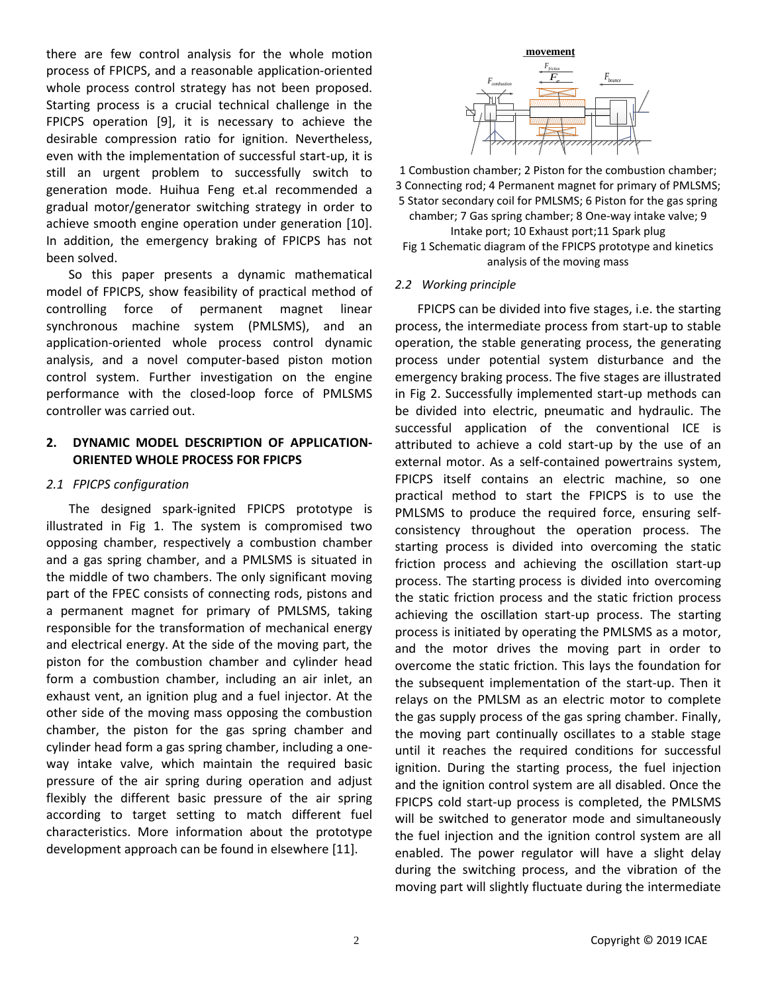there are few control analysis for the whole motion process of FPICPS, and a reasonable application-oriented whole process control strategy has not been proposed. Starting process is a crucial technical challenge in the FPICPS operation [9], it is necessary to achieve the desirable compression ratio for ignition. Nevertheless, even with the implementation of successful start-up, it is still an urgent problem to successfully switch to generation mode. Huihua Feng et.al recommended a gradual motor/generator switching strategy in order to achieve smooth engine operation under generation [10]. In addition, the emergency braking of FPICPS has not been solved.

So this paper presents a dynamic mathematical model of FPICPS, show feasibility of practical method of controlling force of permanent magnet linear synchronous machine system (PMLSMS), and an application-oriented whole process control dynamic analysis, and a novel computer-based piston motion control system. Further investigation on the engine performance with the closed-loop force of PMLSMS controller was carried out.

## **2. DYNAMIC MODEL DESCRIPTION OF APPLICATION-ORIENTED WHOLE PROCESS FOR FPICPS**

### *2.1 FPICPS configuration*

The designed spark-ignited FPICPS prototype is illustrated in Fig 1. The system is compromised two opposing chamber, respectively a combustion chamber and a gas spring chamber, and a PMLSMS is situated in the middle of two chambers. The only significant moving part of the FPEC consists of connecting rods, pistons and a permanent magnet for primary of PMLSMS, taking responsible for the transformation of mechanical energy and electrical energy. At the side of the moving part, the piston for the combustion chamber and cylinder head form a combustion chamber, including an air inlet, an exhaust vent, an ignition plug and a fuel injector. At the other side of the moving mass opposing the combustion chamber, the piston for the gas spring chamber and cylinder head form a gas spring chamber, including a oneway intake valve, which maintain the required basic pressure of the air spring during operation and adjust flexibly the different basic pressure of the air spring according to target setting to match different fuel characteristics. More information about the prototype development approach can be found in elsewhere [11].



1 Combustion chamber; 2 Piston for the combustion chamber; 3 Connecting rod; 4 Permanent magnet for primary of PMLSMS; 5 Stator secondary coil for PMLSMS; 6 Piston for the gas spring chamber; 7 Gas spring chamber; 8 One-way intake valve; 9 Intake port; 10 Exhaust port;11 Spark plug Fig 1 Schematic diagram of the FPICPS prototype and kinetics analysis of the moving mass

### *2.2 Working principle*

FPICPS can be divided into five stages, i.e. the starting process, the intermediate process from start-up to stable operation, the stable generating process, the generating process under potential system disturbance and the emergency braking process. The five stages are illustrated in Fig 2. Successfully implemented start-up methods can be divided into electric, pneumatic and hydraulic. The successful application of the conventional ICE is attributed to achieve a cold start-up by the use of an external motor. As a self-contained powertrains system, FPICPS itself contains an electric machine, so one practical method to start the FPICPS is to use the PMLSMS to produce the required force, ensuring selfconsistency throughout the operation process. The starting process is divided into overcoming the static friction process and achieving the oscillation start-up process. The starting process is divided into overcoming the static friction process and the static friction process achieving the oscillation start-up process. The starting process is initiated by operating the PMLSMS as a motor, and the motor drives the moving part in order to overcome the static friction. This lays the foundation for the subsequent implementation of the start-up. Then it relays on the PMLSM as an electric motor to complete the gas supply process of the gas spring chamber. Finally, the moving part continually oscillates to a stable stage until it reaches the required conditions for successful ignition. During the starting process, the fuel injection and the ignition control system are all disabled. Once the FPICPS cold start-up process is completed, the PMLSMS will be switched to generator mode and simultaneously the fuel injection and the ignition control system are all enabled. The power regulator will have a slight delay during the switching process, and the vibration of the moving part will slightly fluctuate during the intermediate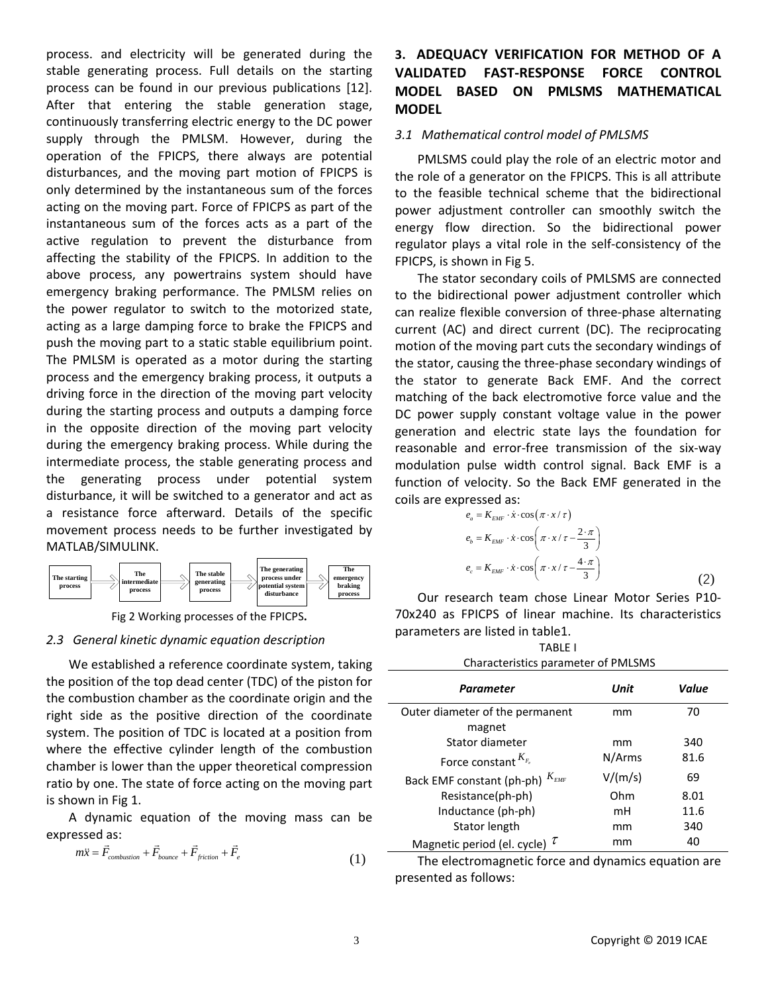process. and electricity will be generated during the stable generating process. Full details on the starting process can be found in our previous publications [12]. After that entering the stable generation stage, continuously transferring electric energy to the DC power supply through the PMLSM. However, during the operation of the FPICPS, there always are potential disturbances, and the moving part motion of FPICPS is only determined by the instantaneous sum of the forces acting on the moving part. Force of FPICPS as part of the instantaneous sum of the forces acts as a part of the active regulation to prevent the disturbance from affecting the stability of the FPICPS. In addition to the above process, any powertrains system should have emergency braking performance. The PMLSM relies on the power regulator to switch to the motorized state, acting as a large damping force to brake the FPICPS and push the moving part to a static stable equilibrium point. The PMLSM is operated as a motor during the starting process and the emergency braking process, it outputs a driving force in the direction of the moving part velocity during the starting process and outputs a damping force in the opposite direction of the moving part velocity during the emergency braking process. While during the intermediate process, the stable generating process and the generating process under potential system disturbance, it will be switched to a generator and act as a resistance force afterward. Details of the specific movement process needs to be further investigated by MATLAB/SIMULINK.



Fig 2 Working processes of the FPICPS**.**

### *2.3 General kinetic dynamic equation description*

We established a reference coordinate system, taking the position of the top dead center (TDC) of the piston for the combustion chamber as the coordinate origin and the right side as the positive direction of the coordinate system. The position of TDC is located at a position from where the effective cylinder length of the combustion chamber is lower than the upper theoretical compression ratio by one. The state of force acting on the moving part is shown in Fig 1.

A dynamic equation of the moving mass can be expressed as:

$$
m\ddot{x} = \vec{F}_{combustion} + \vec{F}_{bounce} + \vec{F}_{friction} + \vec{F}_e
$$
\n(1)

# **3. ADEQUACY VERIFICATION FOR METHOD OF A VALIDATED FAST-RESPONSE FORCE CONTROL MODEL BASED ON PMLSMS MATHEMATICAL MODEL**

#### *3.1 Mathematical control model of PMLSMS*

PMLSMS could play the role of an electric motor and the role of a generator on the FPICPS. This is all attribute to the feasible technical scheme that the bidirectional power adjustment controller can smoothly switch the energy flow direction. So the bidirectional power regulator plays a vital role in the self-consistency of the FPICPS, is shown in Fig 5.

The stator secondary coils of PMLSMS are connected to the bidirectional power adjustment controller which can realize flexible conversion of three-phase alternating current (AC) and direct current (DC). The reciprocating motion of the moving part cuts the secondary windings of the stator, causing the three-phase secondary windings of the stator to generate Back EMF. And the correct matching of the back electromotive force value and the DC power supply constant voltage value in the power generation and electric state lays the foundation for reasonable and error-free transmission of the six-way modulation pulse width control signal. Back EMF is a function of velocity. So the Back EMF generated in the coils are expressed as:

$$
e_{a} = K_{EMF} \cdot \dot{x} \cdot \cos(\pi \cdot x / \tau)
$$
  
\n
$$
e_{b} = K_{EMF} \cdot \dot{x} \cdot \cos\left(\pi \cdot x / \tau - \frac{2 \cdot \pi}{3}\right)
$$
  
\n
$$
e_{c} = K_{EMF} \cdot \dot{x} \cdot \cos\left(\pi \cdot x / \tau - \frac{4 \cdot \pi}{3}\right)
$$
\n(2)

Our research team chose Linear Motor Series P10- 70x240 as FPICPS of linear machine. Its characteristics parameters are listed in table1.

| TABI F I                            |
|-------------------------------------|
| Characteristics parameter of PMLSMS |
|                                     |

| Parameter                              | Unit    | Value |
|----------------------------------------|---------|-------|
| Outer diameter of the permanent        | mm      | 70    |
| magnet                                 |         |       |
| Stator diameter                        | mm      | 340   |
| Force constant $K_{F_e}$               | N/Arms  | 81.6  |
| $K_{EMF}$<br>Back EMF constant (ph-ph) | V/(m/s) | 69    |
| Resistance(ph-ph)                      | Ohm     | 8.01  |
| Inductance (ph-ph)                     | mH      | 11.6  |
| Stator length                          | mm      | 340   |
| Magnetic period (el. cycle)            | mm      | 40    |

The electromagnetic force and dynamics equation are presented as follows: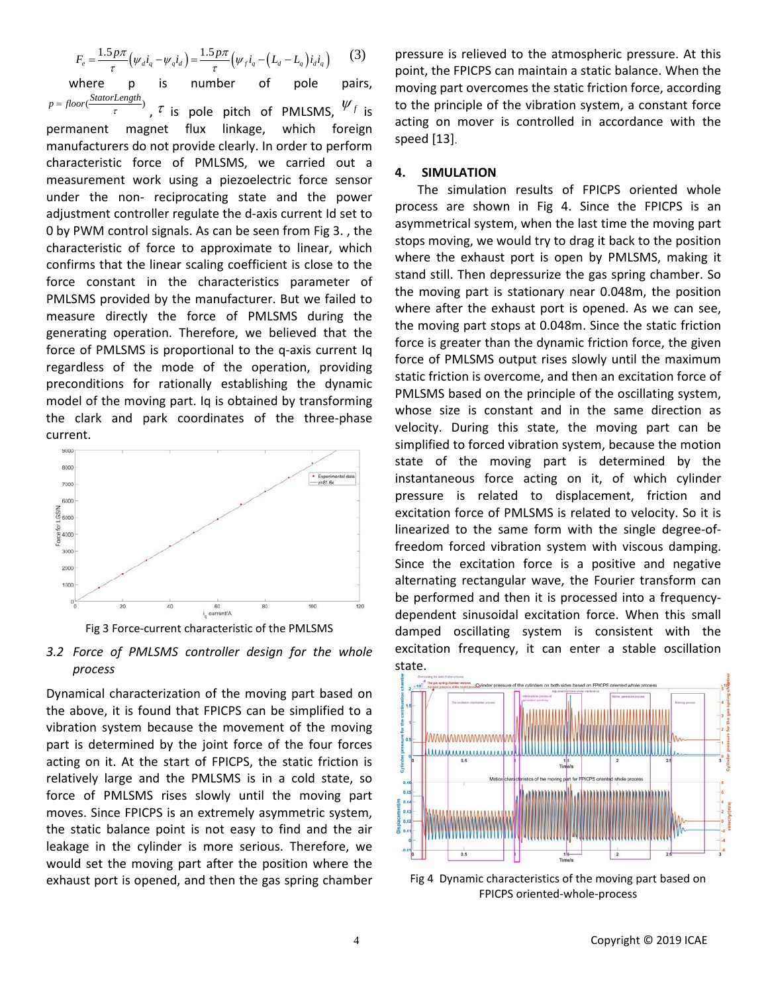$$
F_e = \frac{1.5 p \pi}{\tau} \left( \psi_d i_q - \psi_q i_d \right) = \frac{1.5 p \pi}{\tau} \left( \psi_f i_q - \left( L_d - L_q \right) i_d i_q \right) \tag{3}
$$

where p is number of pole pairs, ( ) *StatorLength p floor*  $\tau$  is pole pitch of PMLSMS,  $\psi_f$  is permanent magnet flux linkage, which foreign manufacturers do not provide clearly. In order to perform characteristic force of PMLSMS, we carried out a measurement work using a piezoelectric force sensor under the non- reciprocating state and the power adjustment controller regulate the d-axis current Id set to 0 by PWM control signals. As can be seen from Fig 3. , the characteristic of force to approximate to linear, which confirms that the linear scaling coefficient is close to the force constant in the characteristics parameter of PMLSMS provided by the manufacturer. But we failed to measure directly the force of PMLSMS during the generating operation. Therefore, we believed that the force of PMLSMS is proportional to the q-axis current Iq regardless of the mode of the operation, providing preconditions for rationally establishing the dynamic model of the moving part. Iq is obtained by transforming the clark and park coordinates of the three-phase current.



Fig 3 Force-current characteristic of the PMLSMS

## *3.2 Force of PMLSMS controller design for the whole process*

Dynamical characterization of the moving part based on the above, it is found that FPICPS can be simplified to a vibration system because the movement of the moving part is determined by the joint force of the four forces acting on it. At the start of FPICPS, the static friction is relatively large and the PMLSMS is in a cold state, so force of PMLSMS rises slowly until the moving part moves. Since FPICPS is an extremely asymmetric system, the static balance point is not easy to find and the air leakage in the cylinder is more serious. Therefore, we would set the moving part after the position where the exhaust port is opened, and then the gas spring chamber pressure is relieved to the atmospheric pressure. At this point, the FPICPS can maintain a static balance. When the moving part overcomes the static friction force, according to the principle of the vibration system, a constant force acting on mover is controlled in accordance with the speed [13].

### **4. SIMULATION**

The simulation results of FPICPS oriented whole process are shown in Fig 4. Since the FPICPS is an asymmetrical system, when the last time the moving part stops moving, we would try to drag it back to the position where the exhaust port is open by PMLSMS, making it stand still. Then depressurize the gas spring chamber. So the moving part is stationary near 0.048m, the position where after the exhaust port is opened. As we can see, the moving part stops at 0.048m. Since the static friction force is greater than the dynamic friction force, the given force of PMLSMS output rises slowly until the maximum static friction is overcome, and then an excitation force of PMLSMS based on the principle of the oscillating system, whose size is constant and in the same direction as velocity. During this state, the moving part can be simplified to forced vibration system, because the motion state of the moving part is determined by the instantaneous force acting on it, of which cylinder pressure is related to displacement, friction and excitation force of PMLSMS is related to velocity. So it is linearized to the same form with the single degree-offreedom forced vibration system with viscous damping. Since the excitation force is a positive and negative alternating rectangular wave, the Fourier transform can be performed and then it is processed into a frequencydependent sinusoidal excitation force. When this small damped oscillating system is consistent with the excitation frequency, it can enter a stable oscillation state.



Fig 4 Dynamic characteristics of the moving part based on FPICPS oriented-whole-process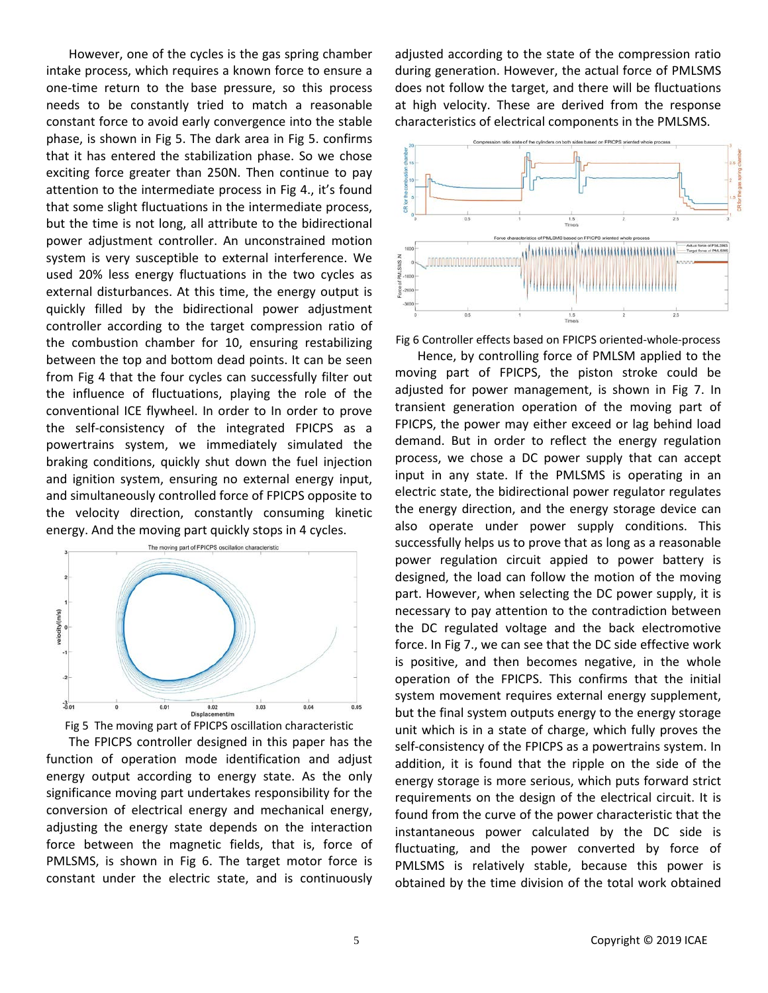However, one of the cycles is the gas spring chamber intake process, which requires a known force to ensure a one-time return to the base pressure, so this process needs to be constantly tried to match a reasonable constant force to avoid early convergence into the stable phase, is shown in Fig 5. The dark area in Fig 5. confirms that it has entered the stabilization phase. So we chose exciting force greater than 250N. Then continue to pay attention to the intermediate process in Fig 4., it's found that some slight fluctuations in the intermediate process, but the time is not long, all attribute to the bidirectional power adjustment controller. An unconstrained motion system is very susceptible to external interference. We used 20% less energy fluctuations in the two cycles as external disturbances. At this time, the energy output is quickly filled by the bidirectional power adjustment controller according to the target compression ratio of the combustion chamber for 10, ensuring restabilizing between the top and bottom dead points. It can be seen from Fig 4 that the four cycles can successfully filter out the influence of fluctuations, playing the role of the conventional ICE flywheel. In order to In order to prove the self-consistency of the integrated FPICPS as a powertrains system, we immediately simulated the braking conditions, quickly shut down the fuel injection and ignition system, ensuring no external energy input, and simultaneously controlled force of FPICPS opposite to the velocity direction, constantly consuming kinetic energy. And the moving part quickly stops in 4 cycles.





The FPICPS controller designed in this paper has the function of operation mode identification and adjust energy output according to energy state. As the only significance moving part undertakes responsibility for the conversion of electrical energy and mechanical energy, adjusting the energy state depends on the interaction force between the magnetic fields, that is, force of PMLSMS, is shown in Fig 6. The target motor force is constant under the electric state, and is continuously

adjusted according to the state of the compression ratio during generation. However, the actual force of PMLSMS does not follow the target, and there will be fluctuations at high velocity. These are derived from the response characteristics of electrical components in the PMLSMS.



Fig 6 Controller effects based on FPICPS oriented-whole-process

Hence, by controlling force of PMLSM applied to the moving part of FPICPS, the piston stroke could be adjusted for power management, is shown in Fig 7. In transient generation operation of the moving part of FPICPS, the power may either exceed or lag behind load demand. But in order to reflect the energy regulation process, we chose a DC power supply that can accept input in any state. If the PMLSMS is operating in an electric state, the bidirectional power regulator regulates the energy direction, and the energy storage device can also operate under power supply conditions. This successfully helps us to prove that as long as a reasonable power regulation circuit appied to power battery is designed, the load can follow the motion of the moving part. However, when selecting the DC power supply, it is necessary to pay attention to the contradiction between the DC regulated voltage and the back electromotive force. In Fig 7., we can see that the DC side effective work is positive, and then becomes negative, in the whole operation of the FPICPS. This confirms that the initial system movement requires external energy supplement, but the final system outputs energy to the energy storage unit which is in a state of charge, which fully proves the self-consistency of the FPICPS as a powertrains system. In addition, it is found that the ripple on the side of the energy storage is more serious, which puts forward strict requirements on the design of the electrical circuit. It is found from the curve of the power characteristic that the instantaneous power calculated by the DC side is fluctuating, and the power converted by force of PMLSMS is relatively stable, because this power is obtained by the time division of the total work obtained